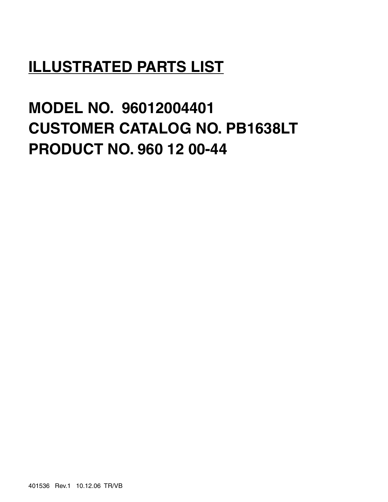# **ILLUSTRATED PARTS LIST**

**MODEL NO. 96012004401 CUSTOMER CATALOG NO. PB1638LT PRODUCT NO. 960 12 00-44**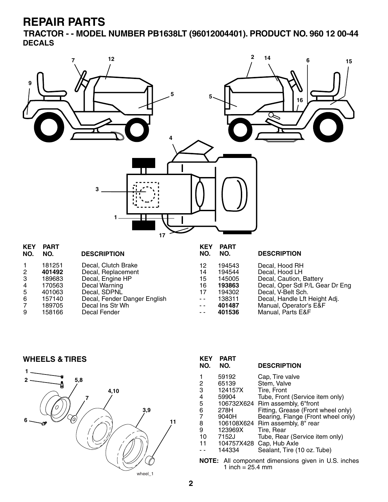**TRACTOR - - MODEL NUMBER PB1638LT (96012004401). PRODUCT NO. 960 12 00-44 DECALS**



|                | 181251 | Decal, Clutch Brake          | 12   | 194543 | Decal, Hood RH                  |
|----------------|--------|------------------------------|------|--------|---------------------------------|
| $\mathbf{2}$   | 401492 | Decal, Replacement           | 14   | 194544 | Decal, Hood LH                  |
| 3              | 189683 | Decal, Engine HP             | 15   | 145005 | Decal, Caution, Battery         |
| 4              | 170563 | Decal Warning                | 16   | 193863 | Decal, Oper Sdl P/L Gear Dr Eng |
| 5              | 401063 | Decal, SDPNL                 |      | 194302 | Decal, V-Belt Sch.              |
| 6              | 157140 | Decal, Fender Danger English | $ -$ | 138311 | Decal, Handle Lft Height Adj.   |
| $\overline{7}$ | 189705 | Decal Ins Str Wh             | $ -$ | 401487 | Manual, Operator's E&F          |
| 9              | 158166 | Decal Fender                 | $ -$ | 401536 | Manual, Parts E&F               |
|                |        |                              |      |        |                                 |

**WHEELS & TIRES**



| <b>KEY</b><br>NO.                                     | <b>PART</b><br>NO. | <b>DESCRIPTION</b>                 |  |
|-------------------------------------------------------|--------------------|------------------------------------|--|
| 1                                                     | 59192              | Cap. Tire valve                    |  |
| $\frac{2}{3}$                                         | 65139              | Stem, Valve                        |  |
|                                                       | 124157X            | Tire, Front                        |  |
| 4                                                     | 59904              | Tube, Front (Service item only)    |  |
| 5                                                     |                    | 106732X624 Rim assembly, 6"front   |  |
| 6                                                     | 278H               | Fitting, Grease (Front wheel only) |  |
| $\overline{7}$                                        | 9040H              | Bearing, Flange (Front wheel only) |  |
| 8                                                     |                    | 106108X624 Rim assembly, 8" rear   |  |
| 9                                                     | 123969X            | Tire, Rear                         |  |
| 10                                                    | 7152J              | Tube, Rear (Service item only)     |  |
| 11                                                    | 104757X428         | Cap, Hub Axle                      |  |
|                                                       | 144334             | Sealant, Tire (10 oz. Tube)        |  |
| All component dimensions given in U.S. inche<br>NOTF· |                    |                                    |  |

**NOTE:** All component dimensions given in U.S. inches 1 inch =  $25.4 \, \text{mm}$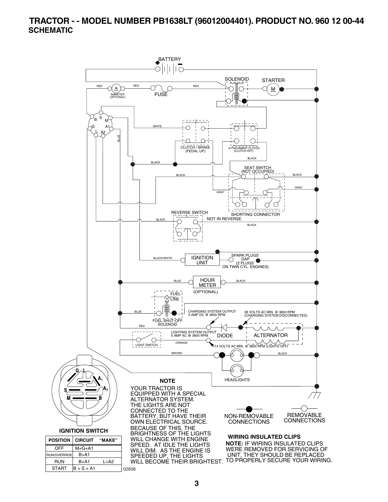#### **TRACTOR - - MODEL NUMBER PB1638LT (96012004401). PRODUCT NO. 960 12 00-44 SCHEMATIC**

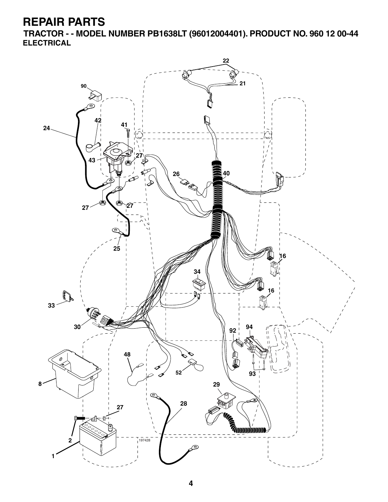**TRACTOR - - MODEL NUMBER PB1638LT (96012004401). PRODUCT NO. 960 12 00-44 ELECTRICAL**

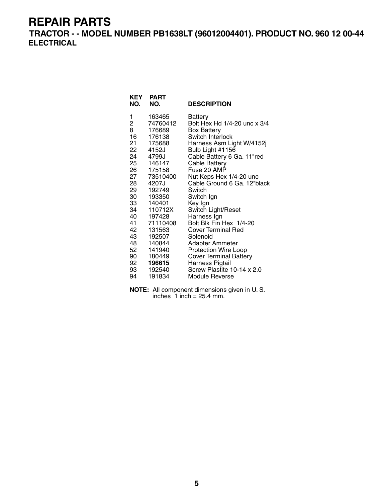**TRACTOR - - MODEL NUMBER PB1638LT (96012004401). PRODUCT NO. 960 12 00-44 ELECTRICAL**

| KEY<br>NO.     | <b>PART</b><br>NO. | <b>DESCRIPTION</b>                                 |
|----------------|--------------------|----------------------------------------------------|
| 1              | 163465             | <b>Battery</b>                                     |
| $\overline{c}$ | 74760412           | Bolt Hex Hd 1/4-20 unc x 3/4                       |
| 8              | 176689             | <b>Box Battery</b>                                 |
| 16             | 176138             | Switch Interlock                                   |
| 21<br>22       | 175688             | Harness Asm Light W/4152j                          |
| 24             | 4152J<br>4799J     | Bulb Light #1156                                   |
| 25             | 146147             | Cable Battery 6 Ga. 11"red<br><b>Cable Battery</b> |
| 26             | 175158             | Fuse 20 AMP                                        |
| 27             | 73510400           | Nut Keps Hex 1/4-20 unc                            |
| 28             | 4207J              | Cable Ground 6 Ga. 12"black                        |
| 29             | 192749             | Switch                                             |
| 30             | 193350             | Switch Ign                                         |
| 33             | 140401             | Key Ign                                            |
| 34             | 110712X            | Switch Light/Reset                                 |
| 40             | 197428             | Harness Ign                                        |
| 41             | 71110408           | Bolt Blk Fin Hex 1/4-20                            |
| 42             | 131563             | <b>Cover Terminal Red</b>                          |
| 43             | 192507             | Solenoid                                           |
| 48             | 140844             | <b>Adapter Ammeter</b>                             |
| 52             | 141940             | <b>Protection Wire Loop</b>                        |
| 90 —           | 180449             | <b>Cover Terminal Battery</b>                      |
| 92             | 196615             | Harness Pigtail                                    |
| 93             | 192540             | Screw Plastite 10-14 x 2.0                         |
| 94             | 191834             | Module Reverse                                     |

**NOTE:** All component dimensions given in U. S. inches  $1$  inch = 25.4 mm.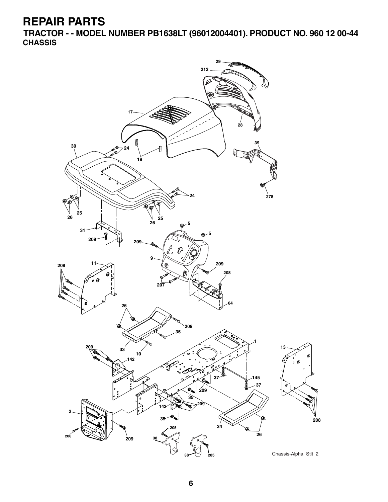**TRACTOR - - MODEL NUMBER PB1638LT (96012004401). PRODUCT NO. 960 12 00-44 CHASSIS**

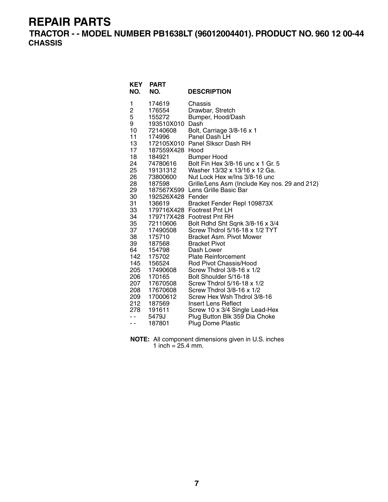**TRACTOR - - MODEL NUMBER PB1638LT (96012004401). PRODUCT NO. 960 12 00-44 CHASSIS**

| <b>KEY</b><br>NO.                                                                                                                                                                                               | <b>PART</b><br>NO.                                                                                                                                                                                                                                                                                                                                                              | <b>DESCRIPTION</b>                                                                                                                                                                                                                                                                                                                                                                                                                                                                                                                                                                                                                                                                                                                                                                                                                                                                                           |
|-----------------------------------------------------------------------------------------------------------------------------------------------------------------------------------------------------------------|---------------------------------------------------------------------------------------------------------------------------------------------------------------------------------------------------------------------------------------------------------------------------------------------------------------------------------------------------------------------------------|--------------------------------------------------------------------------------------------------------------------------------------------------------------------------------------------------------------------------------------------------------------------------------------------------------------------------------------------------------------------------------------------------------------------------------------------------------------------------------------------------------------------------------------------------------------------------------------------------------------------------------------------------------------------------------------------------------------------------------------------------------------------------------------------------------------------------------------------------------------------------------------------------------------|
| 1<br>2<br>5<br>9<br>10<br>11<br>13<br>17<br>18<br>24<br>25<br>26<br>28<br>29<br>30<br>31<br>33<br>34<br>35<br>37<br>38<br>39<br>64<br>142<br>145<br>205<br>206<br>207<br>208<br>209<br>212<br>278<br>- -<br>- - | 174619<br>176554<br>155272<br>193510X010<br>72140608<br>174996<br>187559X428 Hood<br>184921<br>74780616<br>19131312<br>73800600<br>187598<br>192526X428 Fender<br>136619<br>179716X428<br>179717X428<br>72110606<br>17490508<br>175710<br>187568<br>154798<br>175702<br>156524<br>17490608<br>170165<br>17670508<br>17670608<br>17000612<br>187569<br>191611<br>5479J<br>187801 | Chassis<br>Drawbar, Stretch<br>Bumper, Hood/Dash<br>Dash<br>Bolt, Carriage 3/8-16 x 1<br>Panel Dash LH<br>172105X010 Panel Slkscr Dash RH<br>Bumper Hood<br>Bolt Fin Hex 3/8-16 unc x 1 Gr. 5<br>Washer 13/32 x 13/16 x 12 Ga.<br>Nut Lock Hex w/Ins 3/8-16 unc<br>Grille/Lens Asm (Include Key nos. 29 and 212)<br>187567X599 Lens Grille Basic Bar<br>Bracket Fender Repl 109873X<br><b>Footrest Pnt LH</b><br><b>Footrest Pnt RH</b><br>Bolt Rdhd Sht Sqnk 3/8-16 x 3/4<br>Screw Thdrol 5/16-18 x 1/2 TYT<br>Bracket Asm. Pivot Mower<br><b>Bracket Pivot</b><br>Dash Lower<br><b>Plate Reinforcement</b><br>Rod Pivot Chassis/Hood<br>Screw Thdrol 3/8-16 x 1/2<br>Bolt Shoulder 5/16-18<br>Screw Thdrol 5/16-18 x 1/2<br>Screw Thdrol 3/8-16 x 1/2<br>Screw Hex Wsh Thdrol 3/8-16<br>Insert Lens Reflect<br>Screw 10 x 3/4 Single Lead-Hex<br>Plug Button Blk 359 Dia Choke<br><b>Plug Dome Plastic</b> |

**NOTE:** All component dimensions given in U.S. inches 1 inch =  $25.4$  mm.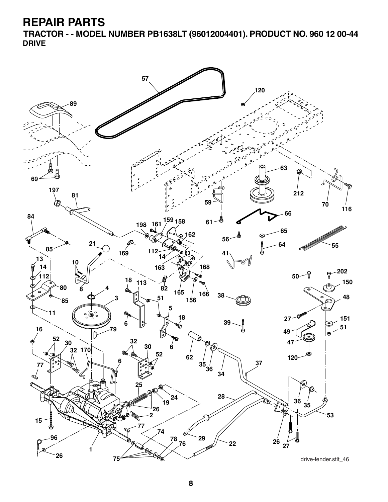**TRACTOR - - MODEL NUMBER PB1638LT (96012004401). PRODUCT NO. 960 12 00-44 DRIVE**

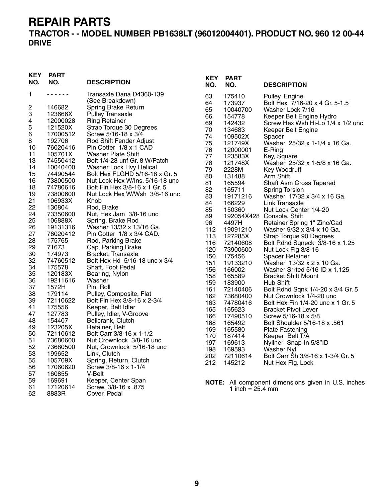### **TRACTOR - - MODEL NUMBER PB1638LT (96012004401). PRODUCT NO. 960 12 00-44 DRIVE**

| KEY<br>NO. | <b>PART</b><br>NO. | <b>DESCRIPTION</b>                   | <b>KEY</b><br>NO. | <b>PART</b><br>NO.         | <b>DESCRIPTION</b>                                  |
|------------|--------------------|--------------------------------------|-------------------|----------------------------|-----------------------------------------------------|
| 1          | .                  | Transaxle Dana D4360-139             | 63                | 175410                     | Pulley, Engine                                      |
|            |                    | (See Breakdown)                      | 64                | 173937                     | Bolt Hex 7/16-20 x 4 Gr. 5-1.5                      |
| 2          | 146682             | Spring Brake Return                  | 65                | 10040700                   | Washer Lock 7/16                                    |
| 3          | 123666X            | Pulley Transaxle                     | 66                | 154778                     | Keeper Belt Engine Hydro                            |
| 4          | 12000028           | <b>Ring Retainer</b>                 | 69                | 142432                     | Screw Hex Wsh Hi-Lo 1/4 x 1/2 unc                   |
| 5          | 121520X            | Strap Torque 30 Degrees              | 70                | 134683                     | Keeper Belt Engine                                  |
| 6          | 17000512           | Screw 5/16-18 x 3/4                  | 74                | 109502X                    | Spacer                                              |
| 8          | 192706             | Rod Shift Fender Adjust              | 75                | 121749X                    | Washer 25/32 x 1-1/4 x 16 Ga.                       |
| 10         | 76020416           | Pin Cotter 1/8 x 1 CAD               | 76                | 12000001                   | E-Ring                                              |
| 11         | 105701X            | <b>Washer Plate Shift</b>            | 77                | 123583X                    | Key, Square                                         |
| 13         | 74550412           | Bolt 1/4-28 unf Gr. 8 W/Patch        | 78                | 121748X                    | Washer 25/32 x 1-5/8 x 16 Ga.                       |
| 14         | 10040400           | Washer Lock Hvy Helical              | 79                | 2228M                      | Key Woodruff                                        |
| 15         | 74490544           | Bolt Hex FLGHD 5/16-18 x Gr. 5       | 80                | 131488                     | Arm Shift                                           |
| 16         | 73800500           | Nut Lock Hex W/Ins. 5/16-18 unc      | 81                | 165594                     | Shaft Asm Cross Tapered                             |
| 18         | 74780616           | Bolt Fin Hex 3/8-16 x 1 Gr. 5        | 82                | 165711                     | <b>Spring Torsion</b>                               |
| 19         | 73800600           | Nut Lock Hex W/Wsh 3/8-16 unc        | 83                | 19171216                   | Washer 17/32 x 3/4 x 16 Ga.                         |
| 21         | 106933X            | Knob                                 | 84                | 166229                     | Link Transaxle                                      |
| 22         | 130804             | Rod, Brake                           | 85                | 150360                     | Nut Lock Center 1/4-20                              |
| 24         | 73350600           | Nut, Hex Jam 3/8-16 unc              | 89                |                            | 192054X428 Console, Shift                           |
| 25         | 106888X            | Spring, Brake Rod                    | 96                | 4497H                      | Retainer Spring 1" Zinc/Cad                         |
| 26         | 19131316           | Washer 13/32 x 13/16 Ga.             | 112               | 19091210                   | Washer 9/32 x 3/4 x 10 Ga.                          |
| 27         | 76020412           | Pin Cotter 1/8 x 3/4 CAD.            | 113               | 127285X                    | Strap Torque 90 Degrees                             |
| 28         | 175765             | Rod, Parking Brake                   | 116               | 72140608                   | Bolt Rdhd Sqneck 3/8-16 x 1.25                      |
| 29         | 71673              | Cap, Parking Brake                   | 120               | 73900600                   | Nut Lock Flg 3/8-16                                 |
| 30         | 174973             | Bracket, Transaxle                   | 150               | 175456                     | <b>Spacer Retainer</b>                              |
| 32         | 74760512           | Bolt Hex Hd 5/16-18 unc x 3/4        | 151               | 19133210                   | Washer 13/32 x 2 x 10 Ga.                           |
| 34         | 175578             | Shaft, Foot Pedal                    | 156               | 166002                     | Washer Srrted 5/16 ID x 1.125                       |
| 35         | 120183X            | Bearing, Nylon                       | 158               | 165589                     | <b>Bracket Shift Mount</b>                          |
| 36         | 19211616           | Washer                               | 159               | 183900                     | Hub Shift                                           |
| 37         | 1572H              | Pin, Roll                            | 161               | 72140406                   | Bolt Rdhd Sqnk 1/4-20 x 3/4 Gr. 5                   |
| 38         | 179114             | Pulley, Composite, Flat              | 162               | 73680400                   | Nut Crownlock 1/4-20 unc                            |
| 39         | 72110622           | Bolt Fin Hex 3/8-16 x 2-3/4          | 163               | 74780416                   | Bolt Hex Fin 1/4-20 unc x 1 Gr. 5                   |
| 41         | 175556             | Keeper, Belt Idler                   | 165               | 165623                     | <b>Bracket Pivot Lever</b>                          |
| 47         | 127783             | Pulley, Idler, V-Groove              | 166               | 17490510                   | Screw 5/16-18 x 5/8                                 |
| 48         | 154407             | Bellcrank, Clutch                    | 168               | 165492                     | <b>Bolt Shoulder 5/16-18 x .561</b>                 |
| 49         | 123205X            | Retainer, Belt                       | 169               | 165580                     | <b>Plate Fastening</b>                              |
| 50         | 72110612           | Bolt Carr 3/8-16 x 1-1/2             | 170               | 187414                     | Keeper Belt T/A                                     |
| 51         | 73680600           | Nut Crownlock 3/8-16 unc             | 197               | 169613                     | Nyliner Snap-In 5/8"ID                              |
| 52         | 73680500           | Nut, Crownlock 5/16-18 unc           | 198               | 169593                     | <b>Washer Nyl</b>                                   |
| 53         | 199652             | Link, Clutch                         | 202               | 72110614                   | Bolt Carr Sh 3/8-16 x 1-3/4 Gr. 5                   |
| 55         | 105709X            | Spring, Return, Clutch               | 212               | 145212                     | Nut Hex Flg. Lock                                   |
| 56         | 17060620           | Screw 3/8-16 x 1-1/4                 |                   |                            |                                                     |
| 57         | 160855             | V-Belt                               |                   |                            |                                                     |
| 59         | 169691             | Keeper, Center Span                  |                   |                            | NOTE: All component dimensions given in U.S. inches |
| 61<br>62   | 17120614<br>8883R  | Screw, 3/8-16 x .875<br>Cover, Pedal |                   | 1 inch = $25.4 \text{ mm}$ |                                                     |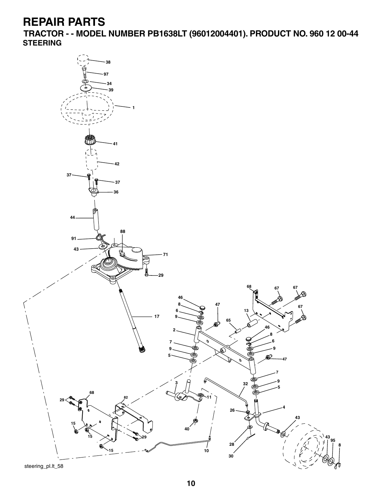**TRACTOR - - MODEL NUMBER PB1638LT (96012004401). PRODUCT NO. 960 12 00-44 STEERING**

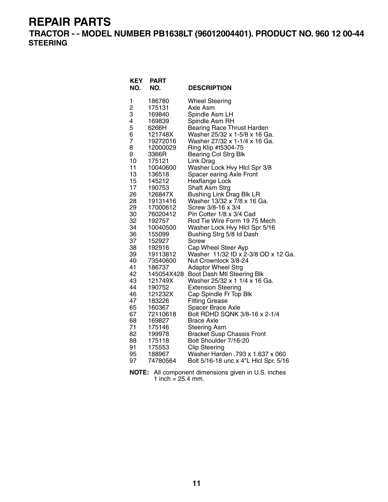**TRACTOR - - MODEL NUMBER PB1638LT (96012004401). PRODUCT NO. 960 12 00-44 STEERING**

| <b>KEY</b><br>NO. | <b>PART</b><br>NO. | <b>DESCRIPTION</b>                                 |
|-------------------|--------------------|----------------------------------------------------|
| 1                 | 186780             | <b>Wheel Steering</b>                              |
| $\frac{2}{3}$     | 175131             | Axle Asm                                           |
|                   | 169840             | Spindle Asm LH                                     |
| 4                 | 169839             | Spindle Asm RH                                     |
| 5                 | 6266H              | <b>Bearing Race Thrust Harden</b>                  |
| 6                 | 121748X            | Washer 25/32 x 1-5/8 x 16 Ga.                      |
| 7                 | 19272016           | Washer 27/32 x 1-1/4 x 16 Ga.                      |
| 8<br>9            | 12000029           | Ring Klip #t5304-75                                |
| 10                | 3366R<br>175121    | <b>Bearing Col Strg Blk</b><br>Link Drag           |
| 11                | 10040600           | Washer Lock Hvy Hlcl Spr 3/8                       |
| 13                | 136518             | Spacer earing Axle Front                           |
| 15                | 145212             | Hexflange Lock                                     |
| 17                | 190753             | Shaft Asm Strg                                     |
| 26                | 126847X            | <b>Bushing Link Drag Blk LR</b>                    |
| 28                | 19131416           | Washer 13/32 x 7/8 x 16 Ga.                        |
| 29                | 17000612           | Screw 3/8-16 x 3/4                                 |
| 30                | 76020412           | Pin Cotter 1/8 x 3/4 Cad                           |
| 32                | 192757             | Rod Tie Wire Form 19 75 Mech                       |
| 34                | 10040500           | Washer Lock Hvy Hlcl Spr 5/16                      |
| 36<br>37          | 155099<br>152927   | Bushing Strg 5/8 Id Dash<br><b>Screw</b>           |
| 38                | 192916             | Cap Wheel Steer Ayp                                |
| 39                | 19113812           | Washer 11/32 ID x 2-3/8 OD x 12 Ga.                |
| 40                | 73540600           | Nut Crownlock 3/8-24                               |
| 41                | 186737             | <b>Adaptor Wheel Strg</b>                          |
| 42                | 145054X428         | Boot Dash Mtl Steering Blk                         |
| 43                | 121749X            | Washer 25/32 x 1 1/4 x 16 Ga.                      |
| 44                | 190752             | <b>Extension Steering</b>                          |
| 46                | 121232X            | Cap Spindle Fr Top Blk                             |
| 47                | 183226             | <b>Fitting Grease</b>                              |
| 65                | 160367             | Spacer Brace Axle<br>Bolt RDHD SQNK 3/8-16 x 2-1/4 |
| 67<br>68          | 72110618<br>169827 | <b>Brace Axle</b>                                  |
| 71                | 175146             | Steering Asm.                                      |
| 82                | 199978             | <b>Bracket Susp Chassis Front</b>                  |
| 88                | 175118             | Bolt Shoulder 7/16-20                              |
| 91                | 175553             | <b>Clip Steering</b>                               |
| 95                | 188967             | Washer Harden .793 x 1.637 x 060                   |
| 97                | 74780564           | Bolt 5/16-18 unc x 4"L Hicl Spr. 5/16              |

**NOTE:** All component dimensions given in U.S. inches 1 inch =  $25.4$  mm.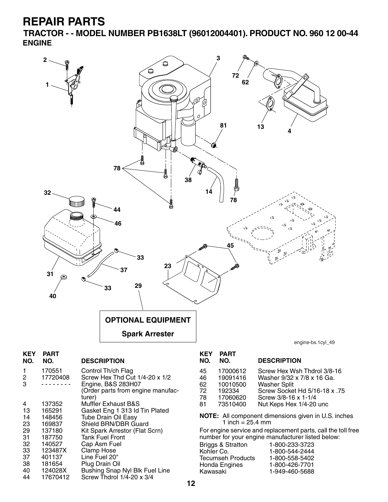23 169837 Shield BRN/DBR Guard<br>29 137180 Kit Spark Arrestor (Flat 9 29 137180 Kit Spark Arrestor (Flat Scrn)<br>31 187750 Tank Fuel Front

40 124028X Bushing Snap Nyl Blk Fuel Line<br>44 17670412 Screw Thdrol 1/4-20 x 3/4

Screw Thdrol  $1/4$ -20 x 3/4

31 187750 Tank Fuel Front 32 140527 Cap Asm Fuel 33 123487X Clamp Hose 37 401137 Line Fuel 20" 38 181654 Plug Drain Oil

**TRACTOR - - MODEL NUMBER PB1638LT (96012004401). PRODUCT NO. 960 12 00-44 ENGINE**



1 inch =  $25.4 \, \text{mm}$ 

For engine service and replacement parts, call the toll free number for your engine manufacturer listed below:

| 1-800-233-3723 |
|----------------|
| 1-800-544-2444 |
| 1-800-558-5402 |
| 1-800-426-7701 |
| 1-949-460-5688 |
|                |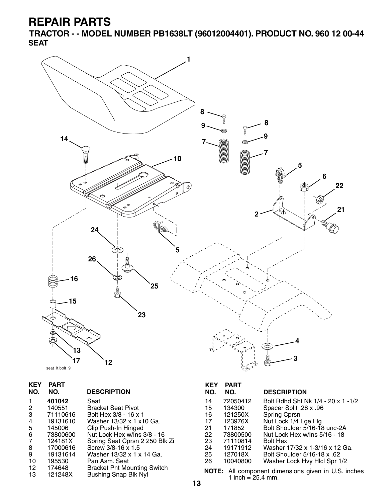**TRACTOR - - MODEL NUMBER PB1638LT (96012004401). PRODUCT NO. 960 12 00-44 SEAT**



| <b>KEY</b><br>NO. | <b>PART</b><br>NO. | <b>DESCRIPTION</b>                 |
|-------------------|--------------------|------------------------------------|
| 1                 | 401042             | Seat                               |
| 2                 | 140551             | <b>Bracket Seat Pivot</b>          |
| 3                 | 71110616           | Bolt Hex 3/8 - 16 x 1              |
| 4                 | 19131610           | Washer 13/32 x 1 x 10 Ga.          |
| 5                 | 145006             | Clip Push-In Hinged                |
| 6                 | 73800600           | Nut Lock Hex w/Ins 3/8 - 16        |
| 7                 | 124181X            | Spring Seat Cprsn 2 250 Blk Zi     |
| 8                 | 17000616           | Screw 3/8-16 x 1.5                 |
| 9                 | 19131614           | Washer 13/32 x 1 x 14 Ga.          |
| 10                | 195530             | Pan Asm. Seat                      |
| 12                | 174648             | <b>Bracket Pnt Mounting Switch</b> |
| 13                | 121248X            | <b>Bushing Snap Blk Nyl</b>        |

### **KEY PART**

| NO.                                               | NO.      | <b>DESCRIPTION</b>                 |  |
|---------------------------------------------------|----------|------------------------------------|--|
| 14                                                | 72050412 | Bolt Rdhd Sht Nk 1/4 - 20 x 1 -1/2 |  |
| 15                                                | 134300   | Spacer Split .28 x .96             |  |
| 16                                                | 121250X  | Spring Cprsn                       |  |
| 17                                                | 123976X  | Nut Lock 1/4 Lge Flg               |  |
| 21                                                | 171852   | Bolt Shoulder 5/16-18 unc-2A       |  |
| 22.                                               | 73800500 | Nut Lock Hex w/Ins 5/16 - 18       |  |
| 23.                                               | 71110814 | <b>Bolt Hex</b>                    |  |
| 24                                                | 19171912 | Washer 17/32 x 1-3/16 x 12 Ga.     |  |
| 25.                                               | 127018X  | Bolt Shoulder 5/16-18 x .62        |  |
| 26                                                | 10040800 | Washer Lock Hvy Hicl Spr 1/2       |  |
| ै<br>All conserved the contract of the HIM to the |          |                                    |  |

**NOTE:** All component dimensions given in U.S. inches 1 inch =  $25.4$  mm.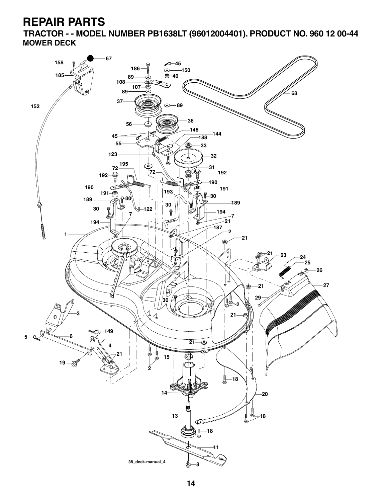**TRACTOR - - MODEL NUMBER PB1638LT (96012004401). PRODUCT NO. 960 12 00-44 MOWER DECK**

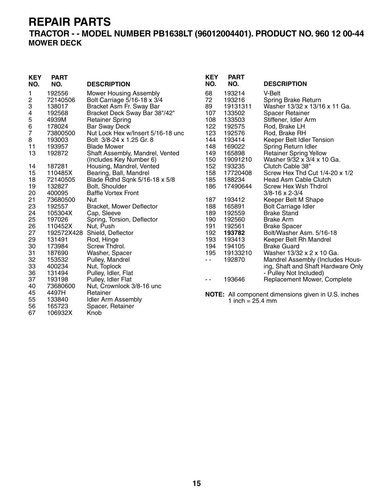### **TRACTOR - - MODEL NUMBER PB1638LT (96012004401). PRODUCT NO. 960 12 00-44 MOWER DECK**

| <b>KEY</b><br>NO. | <b>PART</b><br>NO. | <b>DESCRIPTION</b>                | <b>KEY</b><br>NO. | <b>PART</b><br>NO.         | <b>DESCRIPTION</b>                                  |
|-------------------|--------------------|-----------------------------------|-------------------|----------------------------|-----------------------------------------------------|
|                   | 192556             |                                   | 68                |                            | V-Belt                                              |
| 1                 |                    | <b>Mower Housing Assembly</b>     |                   | 193214                     |                                                     |
| 2                 | 72140506           | Bolt Carriage 5/16-18 x 3/4       | 72                | 193216                     | Spring Brake Return                                 |
| 3                 | 138017             | Bracket Asm Fr. Sway Bar          | 89                | 19131311                   | Washer 13/32 x 13/16 x 11 Ga.                       |
| 4                 | 192568             | Bracket Deck Sway Bar 38"/42"     | 107               | 133502                     | <b>Spacer Retainer</b>                              |
| 5                 | 4939M              | <b>Retainer Spring</b>            | 108               | 133503                     | Stiffener, Idler Arm                                |
| 6                 | 178024             | <b>Bar Sway Deck</b>              | 122               | 192575                     | Rod, Brake LH                                       |
| 7                 | 73800500           | Nut Lock Hex w/Insert 5/16-18 unc | 123               | 192576                     | Rod, Brake RH                                       |
| 8                 | 193003             | Bolt 3/8-24 x 1.25 Gr. 8          | 144               | 193414                     | Keeper Belt Idler Tension                           |
| 11                | 193957             | <b>Blade Mower</b>                | 148               | 169022                     | Spring Return Idler                                 |
| 13                | 192872             | Shaft Assembly, Mandrel, Vented   | 149               | 165898                     | <b>Retainer Spring Yellow</b>                       |
|                   |                    | (Includes Key Number 6)           | 150               | 19091210                   | Washer 9/32 x 3/4 x 10 Ga.                          |
| 14                | 187281             | Housing, Mandrel, Vented          | 152               | 193235                     | Clutch Cable 38"                                    |
| 15                | 110485X            | Bearing, Ball, Mandrel            | 158               | 17720408                   | Screw Hex Thd Cut 1/4-20 x 1/2                      |
| 18                | 72140505           | Blade Rdhd Sqnk 5/16-18 x 5/8     | 185               | 188234                     | <b>Head Asm Cable Clutch</b>                        |
| 19                | 132827             | Bolt, Shoulder                    | 186               | 17490644                   | Screw Hex Wsh Thdrol                                |
| 20                | 400095             | <b>Baffle Vortex Front</b>        |                   |                            | $3/8 - 16 \times 2 - 3/4$                           |
| 21                | 73680500           | Nut                               | 187               | 193412                     | Keeper Belt M Shape                                 |
| 23                | 192557             | Bracket, Mower Deflector          | 188               | 165891                     | <b>Bolt Carriage Idler</b>                          |
| 24                | 105304X            | Cap, Sleeve                       | 189               | 192559                     | <b>Brake Stand</b>                                  |
| 25                | 197026             | Spring, Torsion, Deflector        | 190               | 192560                     | <b>Brake Arm</b>                                    |
| 26                | 110452X            | Nut, Push                         | 191               | 192561                     | <b>Brake Spacer</b>                                 |
| 27                |                    | 192572X428 Shield, Deflector      | 192               | 193782                     | Bolt/Washer Asm, 5/16-18                            |
| 29                | 131491             | Rod, Hinge                        | 193               | 193413                     | Keeper Belt Rh Mandrel                              |
| 30                | 173984             | Screw Thdrol.                     | 194               | 194105                     | <b>Brake Guard</b>                                  |
| 31                | 187690             | Washer, Spacer                    | 195               | 19133210                   | Washer 13/32 x 2 x 10 Ga.                           |
| 32                | 153532             | Pulley, Mandrel                   | $\sim$ $\sim$     | 192870                     | Mandrel Assembly (Includes Hous-                    |
| 33                | 400234             | Nut, Toplock                      |                   |                            | ing, Shaft and Shaft Hardware Only                  |
| 36                | 131494             | Pulley, Idler, Flat               |                   |                            | - Pulley Not Included)                              |
| 37                | 193198             | Pulley, Idler Flat                | $ -$              | 193646                     | Replacement Mower, Complete                         |
| 40                | 73680600           | Nut, Crownlock 3/8-16 unc         |                   |                            |                                                     |
| 45                | 4497H              | Retainer                          |                   |                            | NOTE: All component dimensions given in U.S. inches |
| 55                | 133840             | <b>Idler Arm Assembly</b>         |                   | 1 inch = $25.4 \text{ mm}$ |                                                     |
| 56                | 165723             | Spacer, Retainer                  |                   |                            |                                                     |
| 67                | 106932X            | Knob                              |                   |                            |                                                     |

**15**